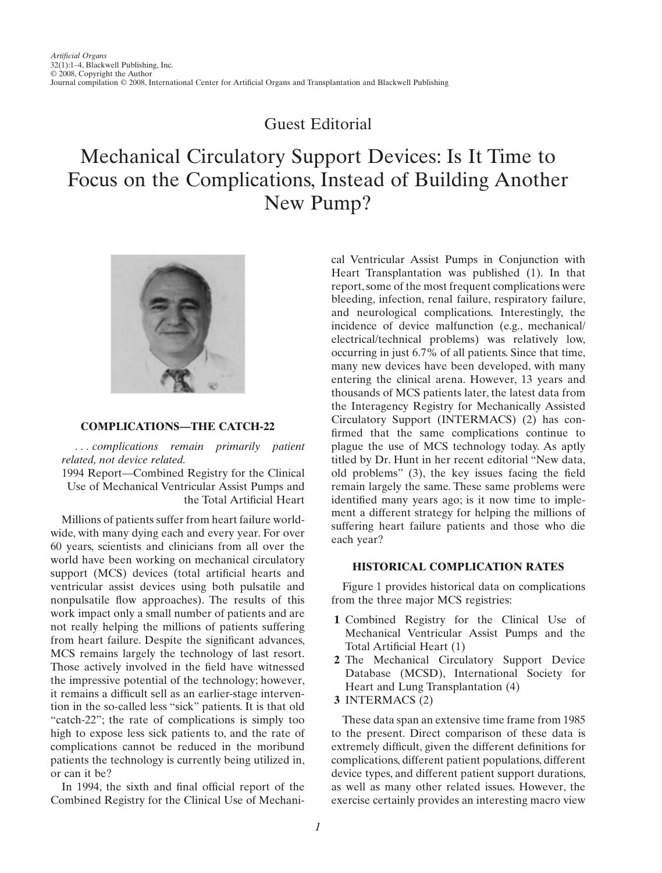# Guest Editorial

# Mechanical Circulatory Support Devices: Is It Time to Focus on the Complications, Instead of Building Another New Pump?



# **COMPLICATIONS—THE CATCH-22**

*. . . complications remain primarily patient related, not device related.*

1994 Report—Combined Registry for the Clinical Use of Mechanical Ventricular Assist Pumps and the Total Artificial Heart

Millions of patients suffer from heart failure worldwide, with many dying each and every year. For over 60 years, scientists and clinicians from all over the world have been working on mechanical circulatory support (MCS) devices (total artificial hearts and ventricular assist devices using both pulsatile and nonpulsatile flow approaches). The results of this work impact only a small number of patients and are not really helping the millions of patients suffering from heart failure. Despite the significant advances, MCS remains largely the technology of last resort. Those actively involved in the field have witnessed the impressive potential of the technology; however, it remains a difficult sell as an earlier-stage intervention in the so-called less "sick" patients. It is that old "catch-22"; the rate of complications is simply too high to expose less sick patients to, and the rate of complications cannot be reduced in the moribund patients the technology is currently being utilized in, or can it be?

In 1994, the sixth and final official report of the Combined Registry for the Clinical Use of Mechanical Ventricular Assist Pumps in Conjunction with Heart Transplantation was published (1). In that report, some of the most frequent complications were bleeding, infection, renal failure, respiratory failure, and neurological complications. Interestingly, the incidence of device malfunction (e.g., mechanical/ electrical/technical problems) was relatively low, occurring in just 6.7% of all patients. Since that time, many new devices have been developed, with many entering the clinical arena. However, 13 years and thousands of MCS patients later, the latest data from the Interagency Registry for Mechanically Assisted Circulatory Support (INTERMACS) (2) has confirmed that the same complications continue to plague the use of MCS technology today. As aptly titled by Dr. Hunt in her recent editorial "New data, old problems" (3), the key issues facing the field remain largely the same. These same problems were identified many years ago; is it now time to implement a different strategy for helping the millions of suffering heart failure patients and those who die each year?

# **HISTORICAL COMPLICATION RATES**

Figure 1 provides historical data on complications from the three major MCS registries:

- **1** Combined Registry for the Clinical Use of Mechanical Ventricular Assist Pumps and the Total Artificial Heart (1)
- **2** The Mechanical Circulatory Support Device Database (MCSD), International Society for Heart and Lung Transplantation (4)
- **3** INTERMACS (2)

These data span an extensive time frame from 1985 to the present. Direct comparison of these data is extremely difficult, given the different definitions for complications, different patient populations, different device types, and different patient support durations, as well as many other related issues. However, the exercise certainly provides an interesting macro view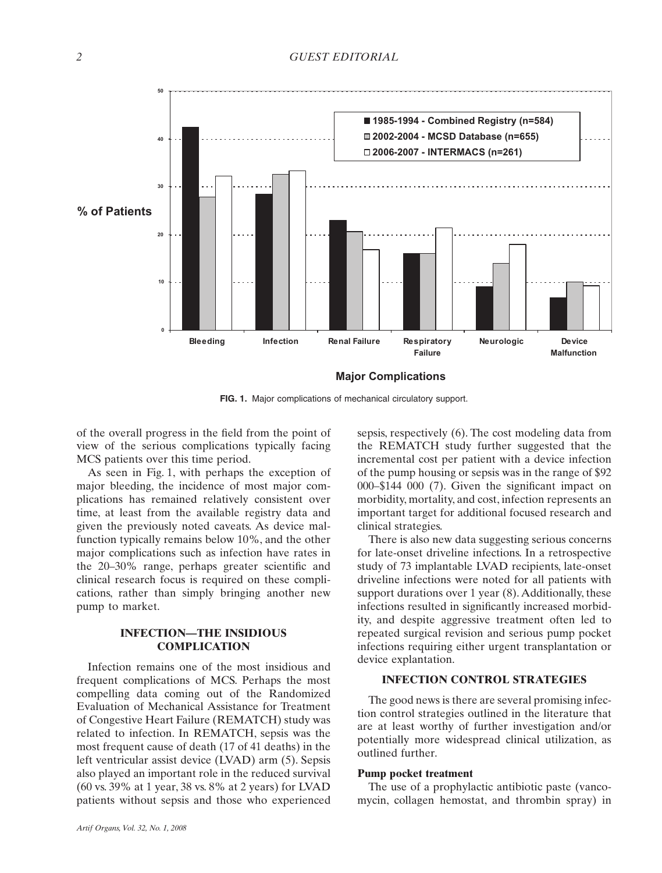

**FIG. 1.** Major complications of mechanical circulatory support.

of the overall progress in the field from the point of view of the serious complications typically facing MCS patients over this time period.

As seen in Fig. 1, with perhaps the exception of major bleeding, the incidence of most major complications has remained relatively consistent over time, at least from the available registry data and given the previously noted caveats. As device malfunction typically remains below 10%, and the other major complications such as infection have rates in the 20–30% range, perhaps greater scientific and clinical research focus is required on these complications, rather than simply bringing another new pump to market.

# **INFECTION—THE INSIDIOUS COMPLICATION**

Infection remains one of the most insidious and frequent complications of MCS. Perhaps the most compelling data coming out of the Randomized Evaluation of Mechanical Assistance for Treatment of Congestive Heart Failure (REMATCH) study was related to infection. In REMATCH, sepsis was the most frequent cause of death (17 of 41 deaths) in the left ventricular assist device (LVAD) arm (5). Sepsis also played an important role in the reduced survival (60 vs. 39% at 1 year, 38 vs. 8% at 2 years) for LVAD patients without sepsis and those who experienced

*Artif Organs, Vol. 32, No. 1, 2008*

sepsis, respectively (6). The cost modeling data from the REMATCH study further suggested that the incremental cost per patient with a device infection of the pump housing or sepsis was in the range of \$92 000–\$144 000 (7). Given the significant impact on morbidity, mortality, and cost, infection represents an important target for additional focused research and clinical strategies.

There is also new data suggesting serious concerns for late-onset driveline infections. In a retrospective study of 73 implantable LVAD recipients, late-onset driveline infections were noted for all patients with support durations over 1 year (8). Additionally, these infections resulted in significantly increased morbidity, and despite aggressive treatment often led to repeated surgical revision and serious pump pocket infections requiring either urgent transplantation or device explantation.

# **INFECTION CONTROL STRATEGIES**

The good news is there are several promising infection control strategies outlined in the literature that are at least worthy of further investigation and/or potentially more widespread clinical utilization, as outlined further.

#### **Pump pocket treatment**

The use of a prophylactic antibiotic paste (vancomycin, collagen hemostat, and thrombin spray) in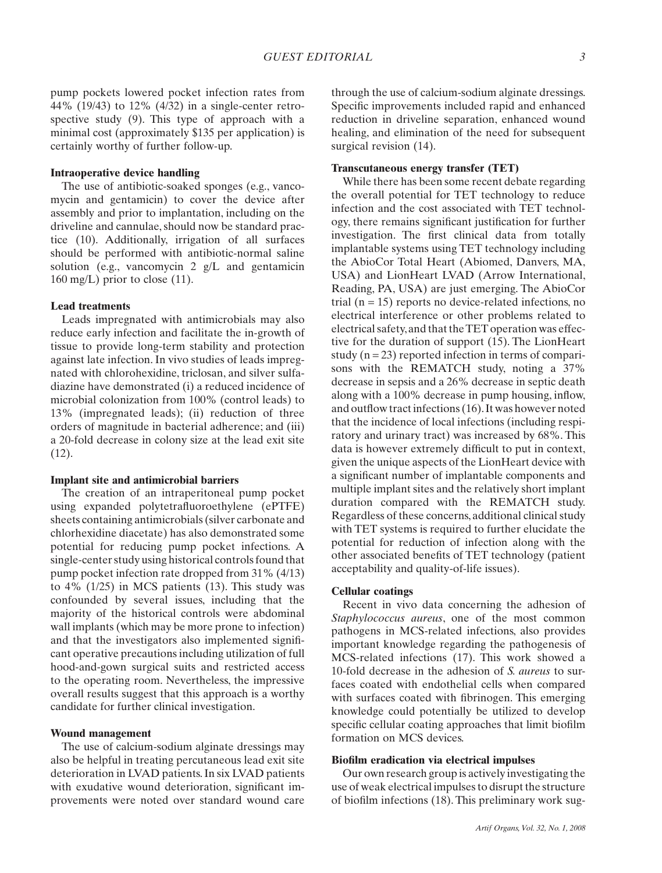pump pockets lowered pocket infection rates from 44% (19/43) to 12% (4/32) in a single-center retrospective study (9). This type of approach with a minimal cost (approximately \$135 per application) is certainly worthy of further follow-up.

### **Intraoperative device handling**

The use of antibiotic-soaked sponges (e.g., vancomycin and gentamicin) to cover the device after assembly and prior to implantation, including on the driveline and cannulae, should now be standard practice (10). Additionally, irrigation of all surfaces should be performed with antibiotic-normal saline solution (e.g., vancomycin 2 g/L and gentamicin  $160 \text{ mg/L}$ ) prior to close (11).

#### **Lead treatments**

Leads impregnated with antimicrobials may also reduce early infection and facilitate the in-growth of tissue to provide long-term stability and protection against late infection. In vivo studies of leads impregnated with chlorohexidine, triclosan, and silver sulfadiazine have demonstrated (i) a reduced incidence of microbial colonization from 100% (control leads) to 13% (impregnated leads); (ii) reduction of three orders of magnitude in bacterial adherence; and (iii) a 20-fold decrease in colony size at the lead exit site (12).

#### **Implant site and antimicrobial barriers**

The creation of an intraperitoneal pump pocket using expanded polytetrafluoroethylene (ePTFE) sheets containing antimicrobials (silver carbonate and chlorhexidine diacetate) has also demonstrated some potential for reducing pump pocket infections. A single-center study using historical controls found that pump pocket infection rate dropped from 31% (4/13) to 4% (1/25) in MCS patients (13). This study was confounded by several issues, including that the majority of the historical controls were abdominal wall implants (which may be more prone to infection) and that the investigators also implemented significant operative precautions including utilization of full hood-and-gown surgical suits and restricted access to the operating room. Nevertheless, the impressive overall results suggest that this approach is a worthy candidate for further clinical investigation.

#### **Wound management**

The use of calcium-sodium alginate dressings may also be helpful in treating percutaneous lead exit site deterioration in LVAD patients. In six LVAD patients with exudative wound deterioration, significant improvements were noted over standard wound care through the use of calcium-sodium alginate dressings. Specific improvements included rapid and enhanced reduction in driveline separation, enhanced wound healing, and elimination of the need for subsequent surgical revision (14).

#### **Transcutaneous energy transfer (TET)**

While there has been some recent debate regarding the overall potential for TET technology to reduce infection and the cost associated with TET technology, there remains significant justification for further investigation. The first clinical data from totally implantable systems using TET technology including the AbioCor Total Heart (Abiomed, Danvers, MA, USA) and LionHeart LVAD (Arrow International, Reading, PA, USA) are just emerging. The AbioCor trial  $(n = 15)$  reports no device-related infections, no electrical interference or other problems related to electrical safety,and that theTET operation was effective for the duration of support (15). The LionHeart study  $(n = 23)$  reported infection in terms of comparisons with the REMATCH study, noting a 37% decrease in sepsis and a 26% decrease in septic death along with a 100% decrease in pump housing, inflow, and outflow tract infections (16).It was however noted that the incidence of local infections (including respiratory and urinary tract) was increased by 68%. This data is however extremely difficult to put in context, given the unique aspects of the LionHeart device with a significant number of implantable components and multiple implant sites and the relatively short implant duration compared with the REMATCH study. Regardless of these concerns, additional clinical study with TET systems is required to further elucidate the potential for reduction of infection along with the other associated benefits of TET technology (patient acceptability and quality-of-life issues).

#### **Cellular coatings**

Recent in vivo data concerning the adhesion of *Staphylococcus aureus*, one of the most common pathogens in MCS-related infections, also provides important knowledge regarding the pathogenesis of MCS-related infections (17). This work showed a 10-fold decrease in the adhesion of *S. aureus* to surfaces coated with endothelial cells when compared with surfaces coated with fibrinogen. This emerging knowledge could potentially be utilized to develop specific cellular coating approaches that limit biofilm formation on MCS devices.

## **Biofilm eradication via electrical impulses**

Our own research group is actively investigating the use of weak electrical impulses to disrupt the structure of biofilm infections (18). This preliminary work sug-